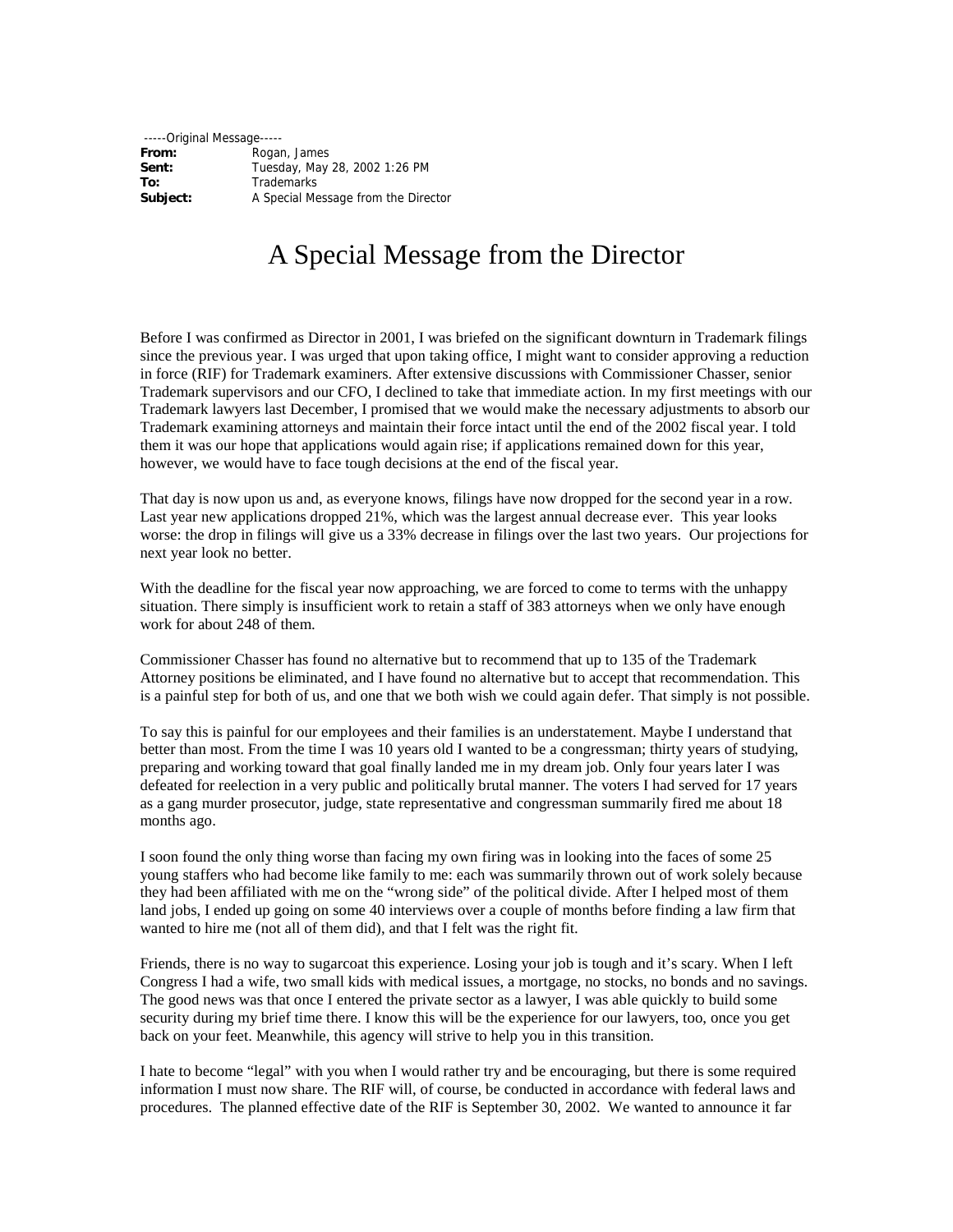-----Original Message----- **From:** Rogan, James **Sent:** Tuesday, May 28, 2002 1:26 PM<br> **To:** Trademarks **To:** Trademarks<br> **Subject:** A Special Me **Subject:** A Special Message from the Director

## A Special Message from the Director

Before I was confirmed as Director in 2001, I was briefed on the significant downturn in Trademark filings since the previous year. I was urged that upon taking office, I might want to consider approving a reduction in force (RIF) for Trademark examiners. After extensive discussions with Commissioner Chasser, senior Trademark supervisors and our CFO, I declined to take that immediate action. In my first meetings with our Trademark lawyers last December, I promised that we would make the necessary adjustments to absorb our Trademark examining attorneys and maintain their force intact until the end of the 2002 fiscal year. I told them it was our hope that applications would again rise; if applications remained down for this year, however, we would have to face tough decisions at the end of the fiscal year.

That day is now upon us and, as everyone knows, filings have now dropped for the second year in a row. Last year new applications dropped 21%, which was the largest annual decrease ever. This year looks worse: the drop in filings will give us a 33% decrease in filings over the last two years. Our projections for next year look no better.

With the deadline for the fiscal year now approaching, we are forced to come to terms with the unhappy situation. There simply is insufficient work to retain a staff of 383 attorneys when we only have enough work for about 248 of them.

Commissioner Chasser has found no alternative but to recommend that up to 135 of the Trademark Attorney positions be eliminated, and I have found no alternative but to accept that recommendation. This is a painful step for both of us, and one that we both wish we could again defer. That simply is not possible.

To say this is painful for our employees and their families is an understatement. Maybe I understand that better than most. From the time I was 10 years old I wanted to be a congressman; thirty years of studying, preparing and working toward that goal finally landed me in my dream job. Only four years later I was defeated for reelection in a very public and politically brutal manner. The voters I had served for 17 years as a gang murder prosecutor, judge, state representative and congressman summarily fired me about 18 months ago.

I soon found the only thing worse than facing my own firing was in looking into the faces of some 25 young staffers who had become like family to me: each was summarily thrown out of work solely because they had been affiliated with me on the "wrong side" of the political divide. After I helped most of them land jobs, I ended up going on some 40 interviews over a couple of months before finding a law firm that wanted to hire me (not all of them did), and that I felt was the right fit.

Friends, there is no way to sugarcoat this experience. Losing your job is tough and it's scary. When I left Congress I had a wife, two small kids with medical issues, a mortgage, no stocks, no bonds and no savings. The good news was that once I entered the private sector as a lawyer, I was able quickly to build some security during my brief time there. I know this will be the experience for our lawyers, too, once you get back on your feet. Meanwhile, this agency will strive to help you in this transition.

I hate to become "legal" with you when I would rather try and be encouraging, but there is some required information I must now share. The RIF will, of course, be conducted in accordance with federal laws and procedures. The planned effective date of the RIF is September 30, 2002. We wanted to announce it far